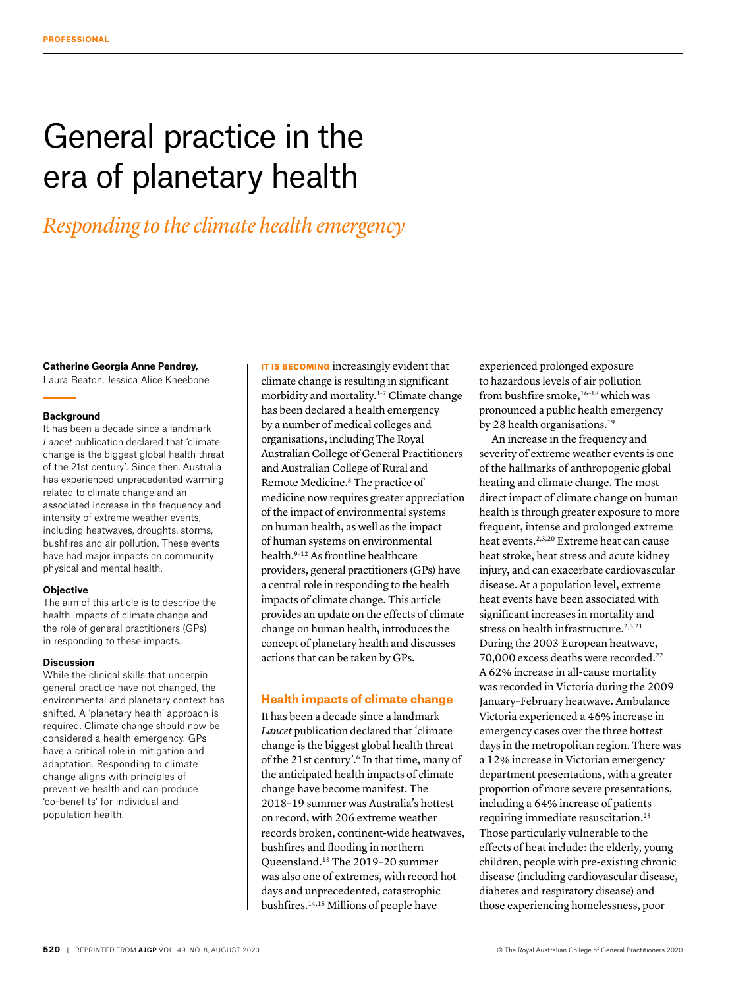# General practice in the era of planetary health

## *Responding to the climate health emergency*

#### **Catherine Georgia Anne Pendrey,**

Laura Beaton, Jessica Alice Kneebone

#### **Background**

It has been a decade since a landmark *Lancet* publication declared that 'climate change is the biggest global health threat of the 21st century'. Since then, Australia has experienced unprecedented warming related to climate change and an associated increase in the frequency and intensity of extreme weather events, including heatwaves, droughts, storms, bushfires and air pollution. These events have had major impacts on community physical and mental health.

#### **Objective**

The aim of this article is to describe the health impacts of climate change and the role of general practitioners (GPs) in responding to these impacts.

#### **Discussion**

While the clinical skills that underpin general practice have not changed, the environmental and planetary context has shifted. A 'planetary health' approach is required. Climate change should now be considered a health emergency. GPs have a critical role in mitigation and adaptation. Responding to climate change aligns with principles of preventive health and can produce 'co-benefits' for individual and population health.

IT IS BECOMING increasingly evident that climate change is resulting in significant morbidity and mortality.<sup>1-7</sup> Climate change has been declared a health emergency by a number of medical colleges and organisations, including The Royal Australian College of General Practitioners and Australian College of Rural and Remote Medicine.8 The practice of medicine now requires greater appreciation of the impact of environmental systems on human health, as well as the impact of human systems on environmental health.9–12 As frontline healthcare providers, general practitioners (GPs) have a central role in responding to the health impacts of climate change. This article provides an update on the effects of climate change on human health, introduces the concept of planetary health and discusses actions that can be taken by GPs.

#### **Health impacts of climate change**

It has been a decade since a landmark *Lancet* publication declared that 'climate change is the biggest global health threat of the 21st century'.<sup>6</sup> In that time, many of the anticipated health impacts of climate change have become manifest. The 2018–19 summer was Australia's hottest on record, with 206 extreme weather records broken, continent-wide heatwaves, bushfires and flooding in northern Queensland.13 The 2019–20 summer was also one of extremes, with record hot days and unprecedented, catastrophic bushfires.14,15 Millions of people have

experienced prolonged exposure to hazardous levels of air pollution from bushfire smoke,<sup>16-18</sup> which was pronounced a public health emergency by 28 health organisations.<sup>19</sup>

An increase in the frequency and severity of extreme weather events is one of the hallmarks of anthropogenic global heating and climate change. The most direct impact of climate change on human health is through greater exposure to more frequent, intense and prolonged extreme heat events.2,3,20 Extreme heat can cause heat stroke, heat stress and acute kidney injury, and can exacerbate cardiovascular disease. At a population level, extreme heat events have been associated with significant increases in mortality and stress on health infrastructure.<sup>2,3,21</sup> During the 2003 European heatwave, 70,000 excess deaths were recorded.22 A 62% increase in all-cause mortality was recorded in Victoria during the 2009 January–February heatwave. Ambulance Victoria experienced a 46% increase in emergency cases over the three hottest days in the metropolitan region. There was a 12% increase in Victorian emergency department presentations, with a greater proportion of more severe presentations, including a 64% increase of patients requiring immediate resuscitation.23 Those particularly vulnerable to the effects of heat include: the elderly, young children, people with pre-existing chronic disease (including cardiovascular disease, diabetes and respiratory disease) and those experiencing homelessness, poor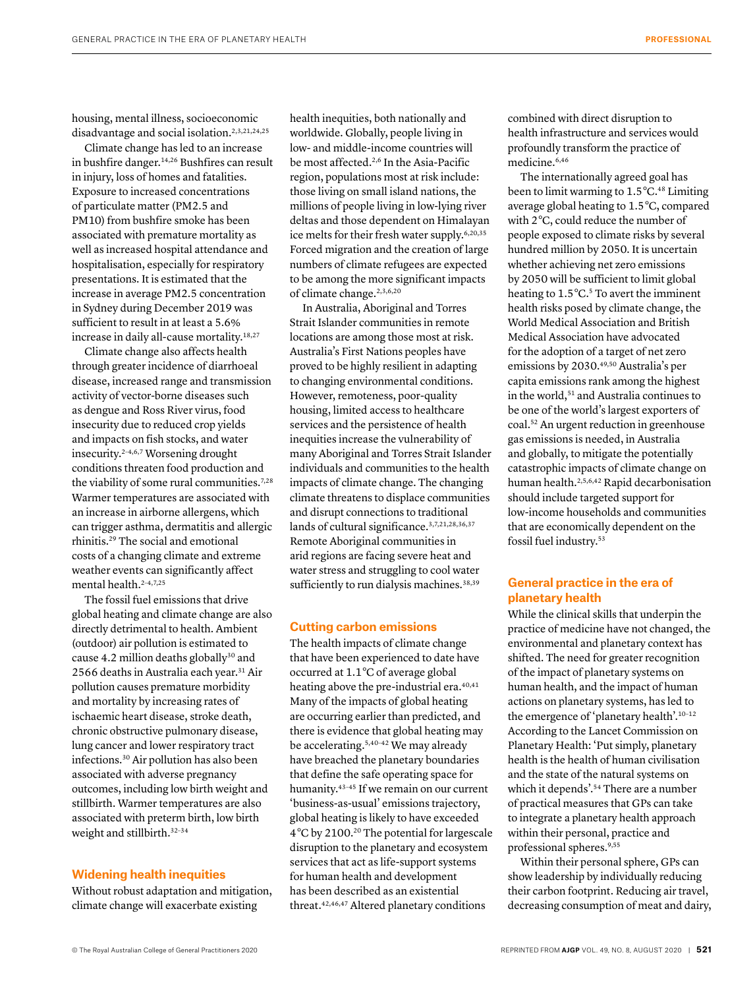housing, mental illness, socioeconomic disadvantage and social isolation.<sup>2,3,21,24,25</sup>

Climate change has led to an increase in bushfire danger.14,26 Bushfires can result in injury, loss of homes and fatalities. Exposure to increased concentrations of particulate matter (PM2.5 and PM10) from bushfire smoke has been associated with premature mortality as well as increased hospital attendance and hospitalisation, especially for respiratory presentations. It is estimated that the increase in average PM2.5 concentration in Sydney during December 2019 was sufficient to result in at least a 5.6% increase in daily all-cause mortality.18,27

Climate change also affects health through greater incidence of diarrhoeal disease, increased range and transmission activity of vector-borne diseases such as dengue and Ross River virus, food insecurity due to reduced crop yields and impacts on fish stocks, and water insecurity.2–4,6,7 Worsening drought conditions threaten food production and the viability of some rural communities.<sup>7,28</sup> Warmer temperatures are associated with an increase in airborne allergens, which can trigger asthma, dermatitis and allergic rhinitis.29 The social and emotional costs of a changing climate and extreme weather events can significantly affect mental health.<sup>2-4,7,25</sup>

The fossil fuel emissions that drive global heating and climate change are also directly detrimental to health. Ambient (outdoor) air pollution is estimated to cause 4.2 million deaths globally<sup>30</sup> and 2566 deaths in Australia each year.31 Air pollution causes premature morbidity and mortality by increasing rates of ischaemic heart disease, stroke death, chronic obstructive pulmonary disease, lung cancer and lower respiratory tract infections.30 Air pollution has also been associated with adverse pregnancy outcomes, including low birth weight and stillbirth. Warmer temperatures are also associated with preterm birth, low birth weight and stillbirth.32–34

#### **Widening health inequities**

Without robust adaptation and mitigation, climate change will exacerbate existing

health inequities, both nationally and worldwide. Globally, people living in low- and middle-income countries will be most affected.2,6 In the Asia-Pacific region, populations most at risk include: those living on small island nations, the millions of people living in low-lying river deltas and those dependent on Himalayan ice melts for their fresh water supply.<sup>6,20,35</sup> Forced migration and the creation of large numbers of climate refugees are expected to be among the more significant impacts of climate change.2,3,6,20

In Australia, Aboriginal and Torres Strait Islander communities in remote locations are among those most at risk. Australia's First Nations peoples have proved to be highly resilient in adapting to changing environmental conditions. However, remoteness, poor-quality housing, limited access to healthcare services and the persistence of health inequities increase the vulnerability of many Aboriginal and Torres Strait Islander individuals and communities to the health impacts of climate change. The changing climate threatens to displace communities and disrupt connections to traditional lands of cultural significance.<sup>3,7,21,28,36,37</sup> Remote Aboriginal communities in arid regions are facing severe heat and water stress and struggling to cool water sufficiently to run dialysis machines.<sup>38,39</sup>

#### **Cutting carbon emissions**

The health impacts of climate change that have been experienced to date have occurred at 1.1 °C of average global heating above the pre-industrial era.<sup>40,41</sup> Many of the impacts of global heating are occurring earlier than predicted, and there is evidence that global heating may be accelerating.5,40–42 We may already have breached the planetary boundaries that define the safe operating space for humanity.<sup>43-45</sup> If we remain on our current 'business-as-usual' emissions trajectory, global heating is likely to have exceeded 4 °C by 2100.20 The potential for largescale disruption to the planetary and ecosystem services that act as life-support systems for human health and development has been described as an existential threat.42,46,47 Altered planetary conditions

combined with direct disruption to health infrastructure and services would profoundly transform the practice of medicine.6,46

The internationally agreed goal has been to limit warming to 1.5 °C.<sup>48</sup> Limiting average global heating to 1.5 °C, compared with 2 °C, could reduce the number of people exposed to climate risks by several hundred million by 2050. It is uncertain whether achieving net zero emissions by 2050 will be sufficient to limit global heating to 1.5°C.<sup>5</sup> To avert the imminent health risks posed by climate change, the World Medical Association and British Medical Association have advocated for the adoption of a target of net zero emissions by 2030.49,50 Australia's per capita emissions rank among the highest in the world,<sup>51</sup> and Australia continues to be one of the world's largest exporters of coal.52 An urgent reduction in greenhouse gas emissions is needed, in Australia and globally, to mitigate the potentially catastrophic impacts of climate change on human health.2,5,6,42 Rapid decarbonisation should include targeted support for low-income households and communities that are economically dependent on the fossil fuel industry.53

### **General practice in the era of planetary health**

While the clinical skills that underpin the practice of medicine have not changed, the environmental and planetary context has shifted. The need for greater recognition of the impact of planetary systems on human health, and the impact of human actions on planetary systems, has led to the emergence of 'planetary health'.10–12 According to the Lancet Commission on Planetary Health: 'Put simply, planetary health is the health of human civilisation and the state of the natural systems on which it depends'.54 There are a number of practical measures that GPs can take to integrate a planetary health approach within their personal, practice and professional spheres.9,55

Within their personal sphere, GPs can show leadership by individually reducing their carbon footprint. Reducing air travel, decreasing consumption of meat and dairy,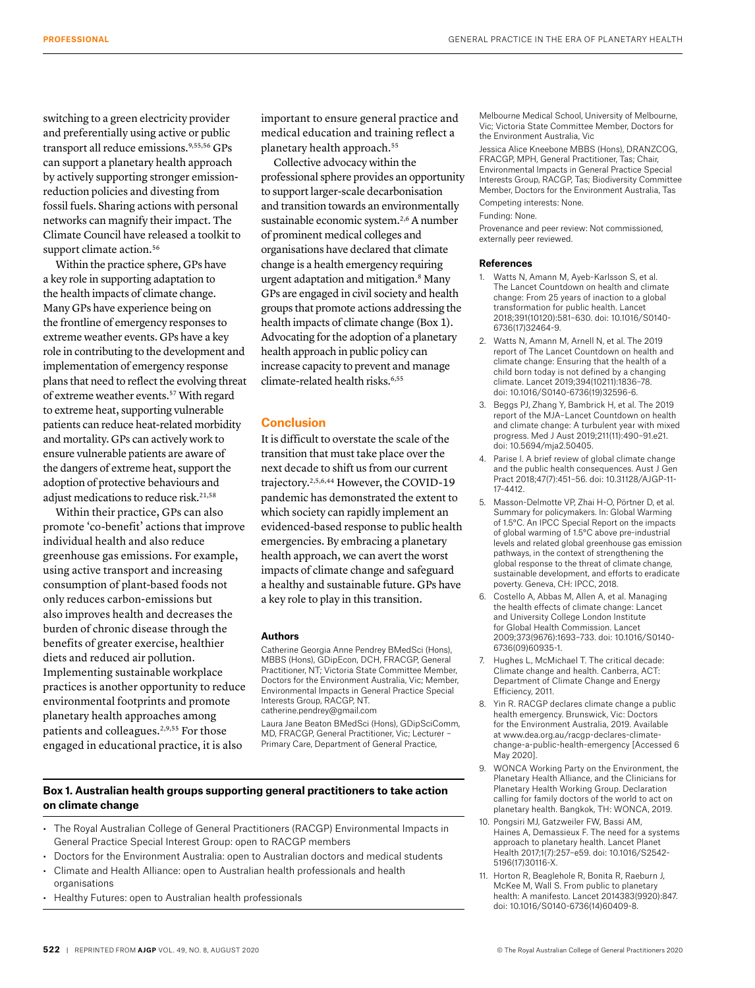switching to a green electricity provider and preferentially using active or public transport all reduce emissions.<sup>9,55,56</sup> GPs can support a planetary health approach by actively supporting stronger emissionreduction policies and divesting from fossil fuels. Sharing actions with personal networks can magnify their impact. The Climate Council have released a toolkit to support climate action.<sup>56</sup>

Within the practice sphere, GPs have a key role in supporting adaptation to the health impacts of climate change. Many GPs have experience being on the frontline of emergency responses to extreme weather events. GPs have a key role in contributing to the development and implementation of emergency response plans that need to reflect the evolving threat of extreme weather events.57 With regard to extreme heat, supporting vulnerable patients can reduce heat-related morbidity and mortality. GPs can actively work to ensure vulnerable patients are aware of the dangers of extreme heat, support the adoption of protective behaviours and adjust medications to reduce risk.21,58

Within their practice, GPs can also promote 'co-benefit' actions that improve individual health and also reduce greenhouse gas emissions. For example, using active transport and increasing consumption of plant-based foods not only reduces carbon-emissions but also improves health and decreases the burden of chronic disease through the benefits of greater exercise, healthier diets and reduced air pollution. Implementing sustainable workplace practices is another opportunity to reduce environmental footprints and promote planetary health approaches among patients and colleagues.2,9,55 For those engaged in educational practice, it is also

important to ensure general practice and medical education and training reflect a planetary health approach.<sup>55</sup>

Collective advocacy within the professional sphere provides an opportunity to support larger-scale decarbonisation and transition towards an environmentally sustainable economic system.2,6 A number of prominent medical colleges and organisations have declared that climate change is a health emergency requiring urgent adaptation and mitigation.8 Many GPs are engaged in civil society and health groups that promote actions addressing the health impacts of climate change (Box 1). Advocating for the adoption of a planetary health approach in public policy can increase capacity to prevent and manage climate-related health risks.<sup>6,55</sup>

#### **Conclusion**

It is difficult to overstate the scale of the transition that must take place over the next decade to shift us from our current trajectory.2,5,6,44 However, the COVID-19 pandemic has demonstrated the extent to which society can rapidly implement an evidenced-based response to public health emergencies. By embracing a planetary health approach, we can avert the worst impacts of climate change and safeguard a healthy and sustainable future. GPs have a key role to play in this transition.

#### **Authors**

Catherine Georgia Anne Pendrey BMedSci (Hons), MBBS (Hons), GDipEcon, DCH, FRACGP, General Practitioner, NT; Victoria State Committee Member, Doctors for the Environment Australia, Vic; Member, Environmental Impacts in General Practice Special Interests Group, RACGP, NT. catherine.pendrey@gmail.com Laura Jane Beaton BMedSci (Hons), GDipSciComm,

MD, FRACGP, General Practitioner, Vic; Lecturer – Primary Care, Department of General Practice,

#### **Box 1. Australian health groups supporting general practitioners to take action on climate change**

- The Royal Australian College of General Practitioners (RACGP) Environmental Impacts in General Practice Special Interest Group: open to RACGP members
- Doctors for the Environment Australia: open to Australian doctors and medical students
- Climate and Health Alliance: open to Australian health professionals and health organisations
- Healthy Futures: open to Australian health professionals

Melbourne Medical School, University of Melbourne, Vic; Victoria State Committee Member, Doctors for the Environment Australia, Vic

Jessica Alice Kneebone MBBS (Hons), DRANZCOG, FRACGP, MPH, General Practitioner, Tas; Chair, Environmental Impacts in General Practice Special Interests Group, RACGP, Tas; Biodiversity Committee Member, Doctors for the Environment Australia, Tas Competing interests: None.

Funding: None.

Provenance and peer review: Not commissioned, externally peer reviewed.

#### **References**

- 1. Watts N, Amann M, Ayeb-Karlsson S, et al. The Lancet Countdown on health and climate change: From 25 years of inaction to a global transformation for public health. Lancet 2018;391(10120):581–630. doi: 10.1016/S0140- 6736(17)32464-9.
- 2. Watts N, Amann M, Arnell N, et al. The 2019 report of The Lancet Countdown on health and climate change: Ensuring that the health of a child born today is not defined by a changing climate. Lancet 2019;394(10211):1836–78. doi: 10.1016/S0140-6736(19)32596-6.
- 3. Beggs PJ, Zhang Y, Bambrick H, et al. The 2019 report of the MJA–Lancet Countdown on health and climate change: A turbulent year with mixed progress. Med J Aust 2019;211(11):490–91.e21. doi: 10.5694/mja2.50405.
- 4. Parise I. A brief review of global climate change and the public health consequences. Aust J Gen Pract 2018;47(7):451–56. doi: 10.31128/AJGP-11- 17-4412.
- 5. Masson-Delmotte VP, Zhai H-O, Pörtner D, et al. Summary for policymakers. In: Global Warming of 1.5°C. An IPCC Special Report on the impacts of global warming of 1.5°C above pre-industrial levels and related global greenhouse gas emission pathways, in the context of strengthening the global response to the threat of climate change, sustainable development, and efforts to eradicate poverty. Geneva, CH: IPCC, 2018.
- 6. Costello A, Abbas M, Allen A, et al. Managing the health effects of climate change: Lancet and University College London Institute for Global Health Commission. Lancet 2009;373(9676):1693–733. doi: 10.1016/S0140- 6736(09)60935-1.
- 7. Hughes L, McMichael T. The critical decade: Climate change and health. Canberra, ACT: Department of Climate Change and Energy Efficiency, 2011.
- 8. Yin R. RACGP declares climate change a public health emergency. Brunswick, Vic: Doctors for the Environment Australia, 2019. Available at www.dea.org.au/racgp-declares-climatechange-a-public-health-emergency [Accessed 6 May 2020].
- 9. WONCA Working Party on the Environment, the Planetary Health Alliance, and the Clinicians for Planetary Health Working Group. Declaration calling for family doctors of the world to act on planetary health. Bangkok, TH: WONCA, 2019.
- 10. Pongsiri MJ, Gatzweiler FW, Bassi AM, Haines A, Demassieux F. The need for a systems approach to planetary health. Lancet Planet Health 2017;1(7):257–e59. doi: 10.1016/S2542- 5196(17)30116-X.
- 11. Horton R, Beaglehole R, Bonita R, Raeburn J, McKee M, Wall S. From public to planetary health: A manifesto. Lancet 2014383(9920):847. doi: 10.1016/S0140-6736(14)60409-8.